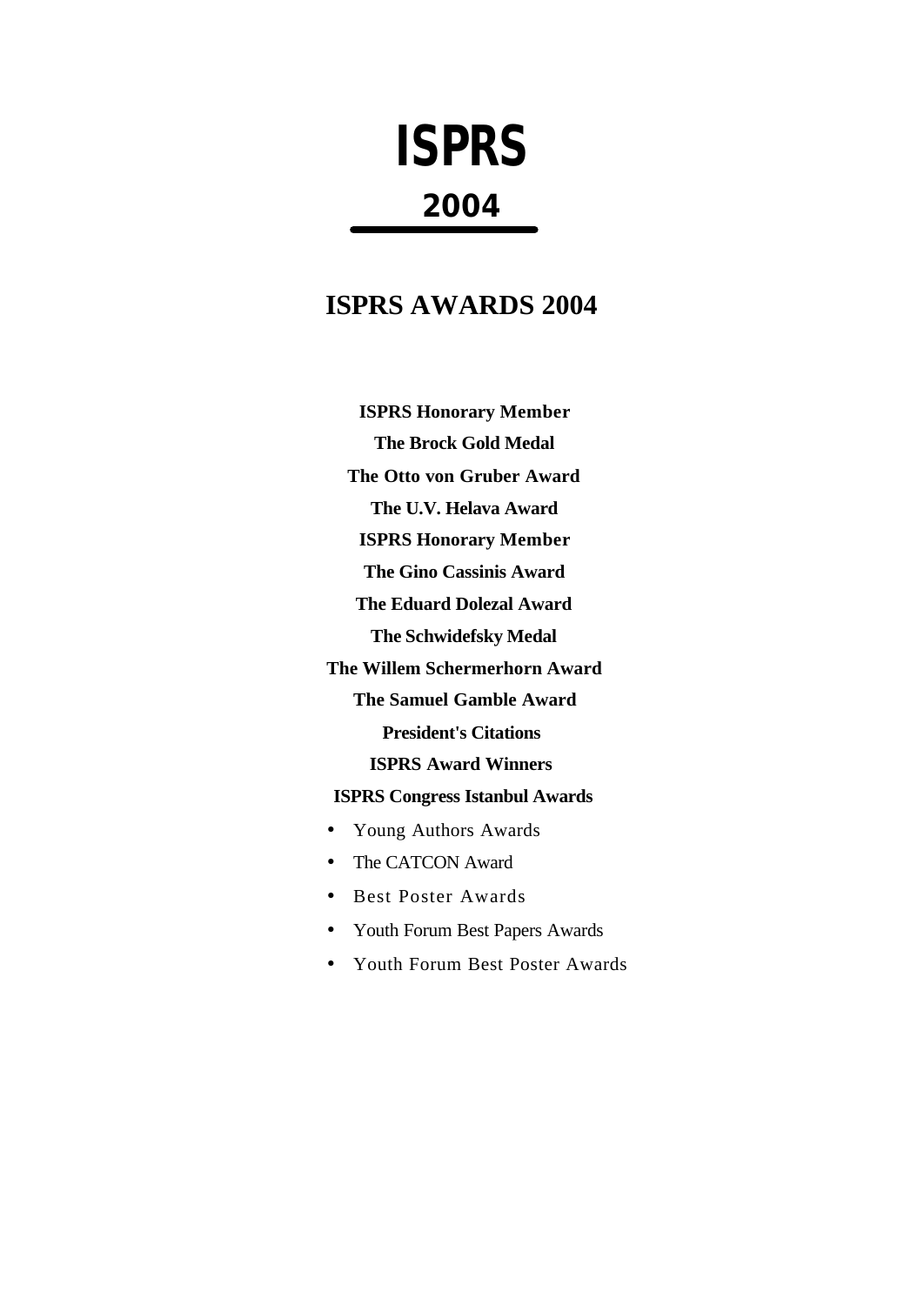# **ISPRS 2004**

# **ISPRS AWARDS 2004**

**ISPRS Honorary Member The Brock Gold Medal The Otto von Gruber Award The U.V. Helava Award ISPRS Honorary Member The Gino Cassinis Award The Eduard Dolezal Award The Schwidefsky Medal The Willem Schermerhorn Award The Samuel Gamble Award President's Citations ISPRS Award Winners**

# **ISPRS Congress Istanbul Awards**

- Young Authors Awards
- The CATCON Award
- Best Poster Awards
- Youth Forum Best Papers Awards
- Youth Forum Best Poster Awards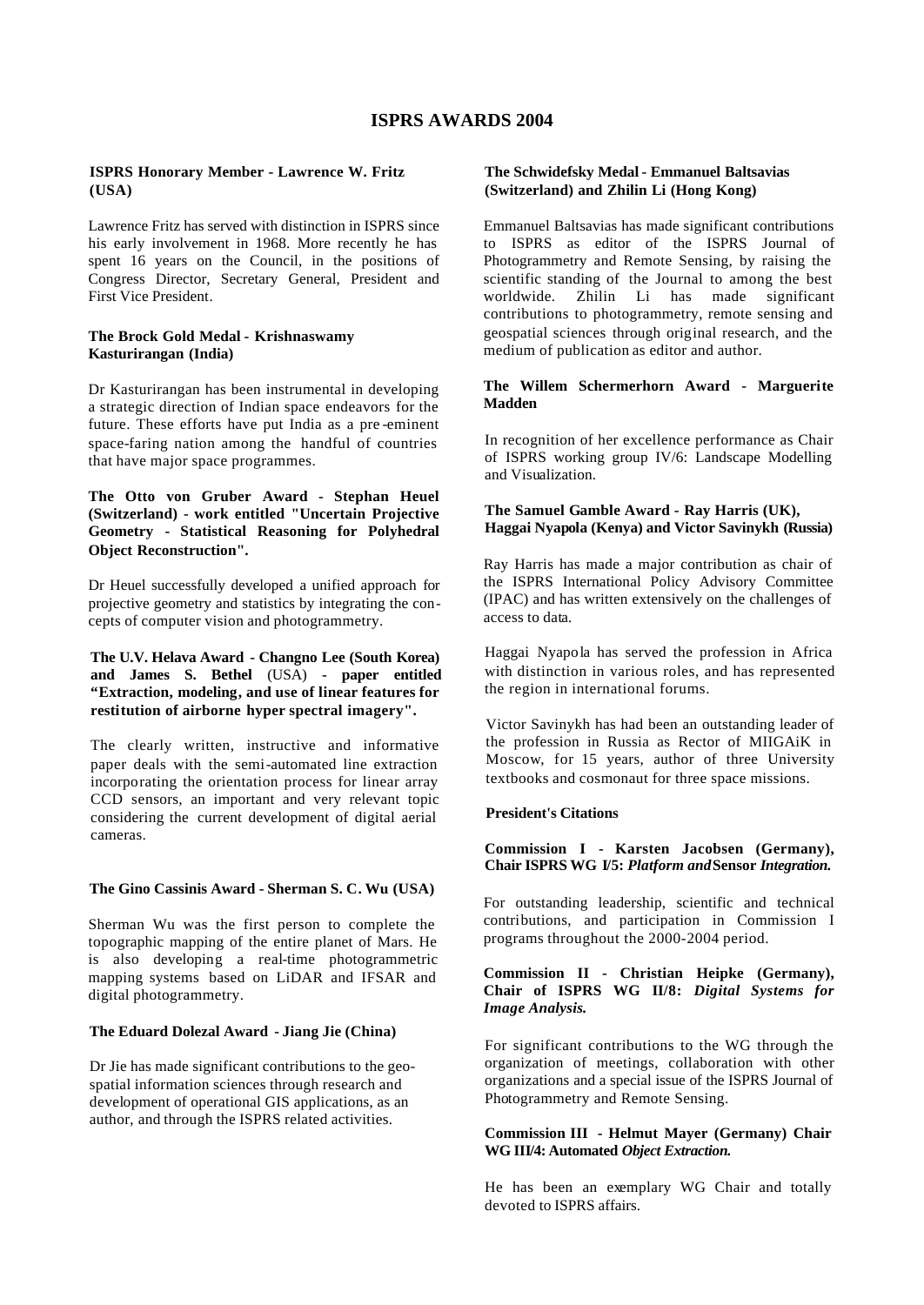#### **ISPRS AWARDS 2004**

#### **ISPRS Honorary Member - Lawrence W. Fritz (USA)**

Lawrence Fritz has served with distinction in ISPRS since his early involvement in 1968. More recently he has spent 16 years on the Council, in the positions of Congress Director, Secretary General, President and First Vice President.

#### **The Brock Gold Medal - Krishnaswamy Kasturirangan (India)**

Dr Kasturirangan has been instrumental in developing a strategic direction of Indian space endeavors for the future. These efforts have put India as a pre -eminent space-faring nation among the handful of countries that have major space programmes.

**The Otto von Gruber Award - Stephan Heuel (Switzerland) - work entitled "Uncertain Projective Geometry - Statistical Reasoning for Polyhedral Object Reconstruction".**

Dr Heuel successfully developed a unified approach for projective geometry and statistics by integrating the concepts of computer vision and photogrammetry.

#### **The U.V. Helava Award - Changno Lee (South Korea) and James S. Bethel** (USA) **- paper entitled "Extraction, modeling, and use of linear features for restitution of airborne hyper spectral imagery".**

The clearly written, instructive and informative paper deals with the semi-automated line extraction incorporating the orientation process for linear array CCD sensors, an important and very relevant topic considering the current development of digital aerial cameras.

#### **The Gino Cassinis Award - Sherman S. C. Wu (USA)**

Sherman Wu was the first person to complete the topographic mapping of the entire planet of Mars. He is also developing a real-time photogrammetric mapping systems based on LiDAR and IFSAR and digital photogrammetry.

#### **The Eduard Dolezal Award - Jiang Jie (China)**

Dr Jie has made significant contributions to the geospatial information sciences through research and development of operational GIS applications, as an author, and through the ISPRS related activities.

#### **The Schwidefsky Medal - Emmanuel Baltsavias (Switzerland) and Zhilin Li (Hong Kong)**

Emmanuel Baltsavias has made significant contributions to ISPRS as editor of the ISPRS Journal of Photogrammetry and Remote Sensing, by raising the scientific standing of the Journal to among the best worldwide. Zhilin Li has made significant contributions to photogrammetry, remote sensing and geospatial sciences through original research, and the medium of publication as editor and author.

#### **The Willem Schermerhorn Award - Marguerite Madden**

In recognition of her excellence performance as Chair of ISPRS working group IV/6: Landscape Modelling and Visualization.

#### **The Samuel Gamble Award - Ray Harris (UK), Haggai Nyapola (Kenya) and Victor Savinykh (Russia)**

Ray Harris has made a major contribution as chair of the ISPRS International Policy Advisory Committee (IPAC) and has written extensively on the challenges of access to data.

Haggai Nyapola has served the profession in Africa with distinction in various roles, and has represented the region in international forums.

Victor Savinykh has had been an outstanding leader of the profession in Russia as Rector of MIIGAiK in Moscow, for 15 years, author of three University textbooks and cosmonaut for three space missions.

#### **President's Citations**

**Commission I - Karsten Jacobsen (Germany), Chair ISPRS WG I/5:** *Platform and* **Sensor** *Integration.*

For outstanding leadership, scientific and technical contributions, and participation in Commission I programs throughout the 2000-2004 period.

#### **Commission II - Christian Heipke (Germany), Chair of ISPRS WG II/8:** *Digital Systems for Image Analysis.*

For significant contributions to the WG through the organization of meetings, collaboration with other organizations and a special issue of the ISPRS Journal of Photogrammetry and Remote Sensing.

#### **Commission III - Helmut Mayer (Germany) Chair WG III/4: Automated** *Object Extraction.*

He has been an exemplary WG Chair and totally devoted to ISPRS affairs.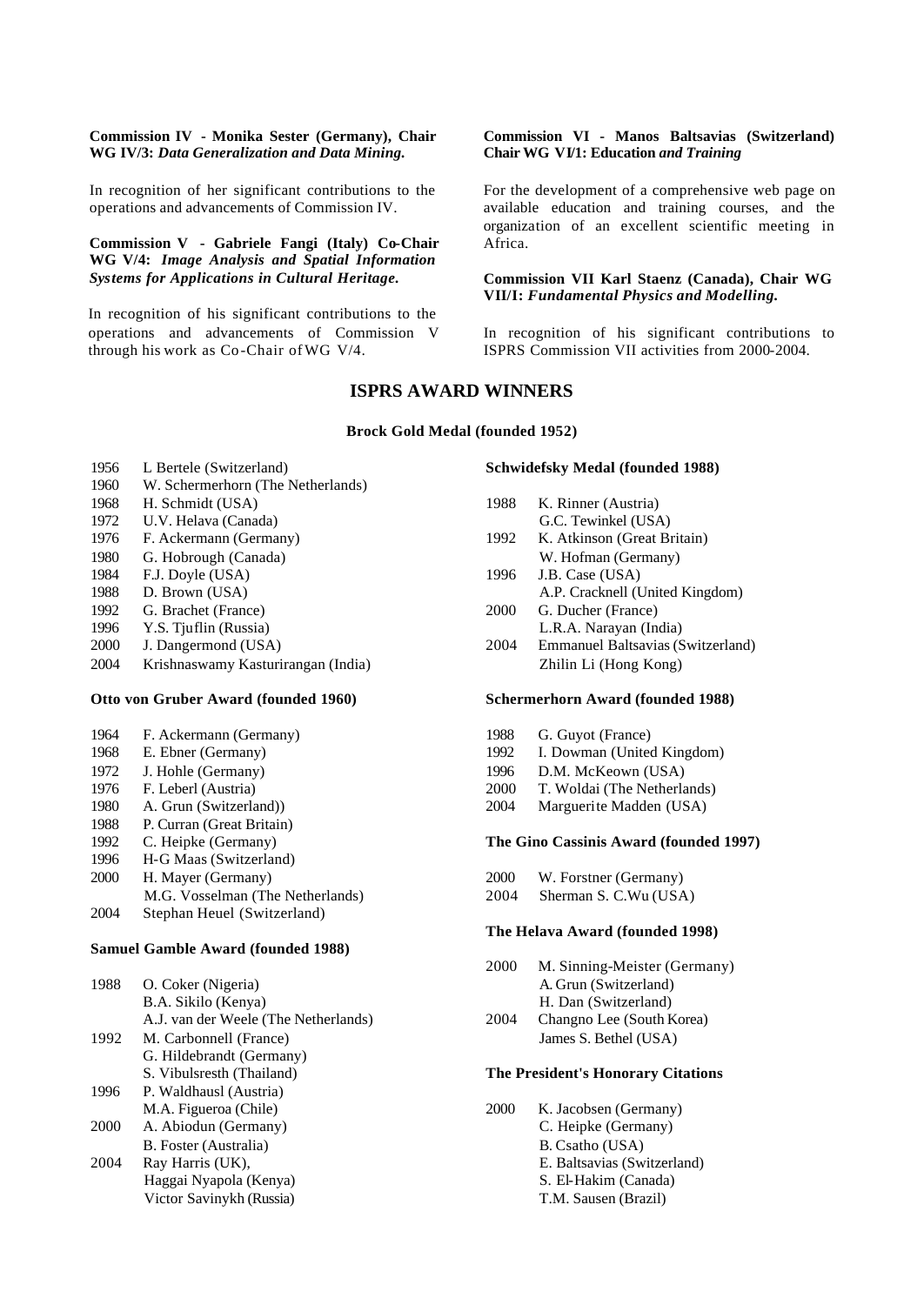#### **Commission IV - Monika Sester (Germany), Chair WG IV/3:** *Data Generalization and Data Mining.*

In recognition of her significant contributions to the operations and advancements of Commission IV.

#### **Commission V - Gabriele Fangi (Italy) Co-Chair WG V/4:** *Image Analysis and Spatial Information Systems for Applications in Cultural Heritage.*

In recognition of his significant contributions to the operations and advancements of Commission V through his work as Co-Chair ofWG V/4.

#### **Commission VI - Manos Baltsavias (Switzerland) Chair WG VI/1: Education** *and Training*

For the development of a comprehensive web page on available education and training courses, and the organization of an excellent scientific meeting in Africa.

#### **Commission VII Karl Staenz (Canada), Chair WG VII/I:** *Fundamental Physics and Modelling.*

In recognition of his significant contributions to ISPRS Commission VII activities from 2000-2004.

### **ISPRS AWARD WINNERS**

#### **Brock Gold Medal (founded 1952)**

- 1956 L Bertele (Switzerland)
- 1960 W. Schermerhorn (The Netherlands)
- 1968 H. Schmidt (USA)
- 1972 U.V. Helava (Canada)
- 1976 F. Ackermann (Germany)
- 1980 G. Hobrough (Canada)
- 1984 F.J. Doyle (USA)
- 1988 D. Brown (USA)
- 1992 G. Brachet (France)
- 1996 Y.S. Tjuflin (Russia)
- 2000 J. Dangermond (USA)
- 2004 Krishnaswamy Kasturirangan (India)

#### **Otto von Gruber Award (founded 1960)**

- 1964 F. Ackermann (Germany)
- 1968 E. Ebner (Germany)
- 1972 J. Hohle (Germany)
- 1976 F. Leberl (Austria)
- 1980 A. Grun (Switzerland))
- 1988 P. Curran (Great Britain)
- 1992 C. Heipke (Germany)
- 1996 H-G Maas (Switzerland)
- 2000 H. Mayer (Germany)
- M.G. Vosselman (The Netherlands)
- 2004 Stephan Heuel (Switzerland)

#### **Samuel Gamble Award (founded 1988)**

| 1988 | O. Coker (Nigeria)                   |
|------|--------------------------------------|
|      | B.A. Sikilo (Kenya)                  |
|      | A.J. van der Weele (The Netherlands) |
| 1992 | M. Carbonnell (France)               |
|      | G. Hildebrandt (Germany)             |
|      | S. Vibulsresth (Thailand)            |
| 1996 | P. Waldhausl (Austria)               |
|      | M.A. Figueroa (Chile)                |
| 2000 | A. Abiodun (Germany)                 |
|      | B. Foster (Australia)                |
| 2004 | Ray Harris (UK),                     |
|      | Haggai Nyapola (Kenya)               |
|      | Victor Savinykh (Russia)             |
|      |                                      |

#### **Schwidefsky Medal (founded 1988)**

| 1988 | K. Rinner (Austria)                      |  |  |
|------|------------------------------------------|--|--|
|      | G.C. Tewinkel (USA)                      |  |  |
| 1992 | K. Atkinson (Great Britain)              |  |  |
|      | W. Hofman (Germany)                      |  |  |
| 1996 | J.B. Case (USA)                          |  |  |
|      | A.P. Cracknell (United Kingdom)          |  |  |
| 2000 | G. Ducher (France)                       |  |  |
|      | L.R.A. Narayan (India)                   |  |  |
| 2004 | <b>Emmanuel Baltsavias (Switzerland)</b> |  |  |
|      | Zhilin Li (Hong Kong)                    |  |  |
|      |                                          |  |  |

#### **Schermerhorn Award (founded 1988)**

- 1988 G. Guyot (France)
- 1992 I. Dowman (United Kingdom)
- 1996 D.M. McKeown (USA)
- 2000 T. Woldai (The Netherlands)
- 2004 Marguerite Madden (USA)

#### **The Gino Cassinis Award (founded 1997)**

- 2000 W. Forstner (Germany)
- 2004 Sherman S. C.Wu (USA)

#### **The Helava Award (founded 1998)**

- 2000 M. Sinning-Meister (Germany) A. Grun (Switzerland) H. Dan (Switzerland)
- 2004 Changno Lee (South Korea) James S. Bethel (USA)

#### **The President's Honorary Citations**

2000 K. Jacobsen (Germany) C. Heipke (Germany) B. Csatho (USA) E. Baltsavias (Switzerland) S. El-Hakim (Canada) T.M. Sausen (Brazil)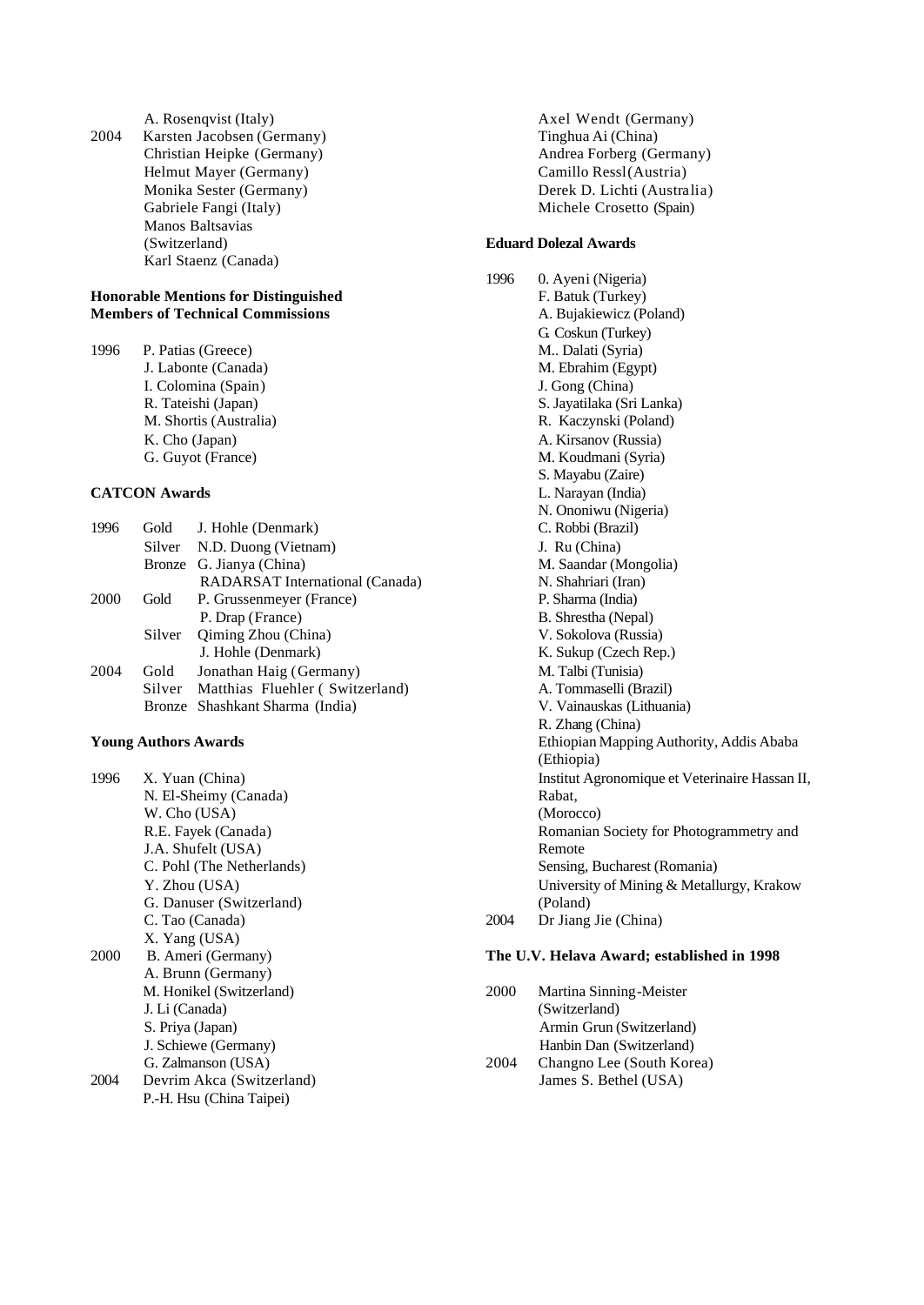A. Rosenqvist (Italy) 2004 Karsten Jacobsen (Germany) Christian Heipke (Germany) Helmut Mayer (Germany) Monika Sester (Germany) Gabriele Fangi (Italy) Manos Baltsavias (Switzerland) Karl Staenz (Canada)

#### **Honorable Mentions for Distinguished Members of Technical Commissions**

1996 P. Patias (Greece) J. Labonte (Canada) I. Colomina (Spain) R. Tateishi (Japan) M. Shortis (Australia) K. Cho (Japan) G. Guyot (France)

#### **CATCON Awards**

| 1996 |        | Gold J. Hohle (Denmark)                |  |
|------|--------|----------------------------------------|--|
|      |        | Silver N.D. Duong (Vietnam)            |  |
|      |        | Bronze G. Jianya (China)               |  |
|      |        | RADARSAT International (Canada)        |  |
| 2000 | Gold   | P. Grussenmeyer (France)               |  |
|      |        | P. Drap (France)                       |  |
|      | Silver | Qiming Zhou (China)                    |  |
|      |        | J. Hohle (Denmark)                     |  |
| 2004 | Gold   | Jonathan Haig (Germany)                |  |
|      |        | Silver Matthias Fluehler (Switzerland) |  |
|      |        | Bronze Shashkant Sharma (India)        |  |
|      |        |                                        |  |

#### **Young Authors Awards**

1996 X. Yuan (China) N. El-Sheimy (Canada) W. Cho (USA) R.E. Fayek (Canada) J.A. Shufelt (USA) C. Pohl (The Netherlands) Y. Zhou (USA) G. Danuser (Switzerland) C. Tao (Canada) X. Yang (USA) 2000 B. Ameri (Germany) A. Brunn (Germany) M. Honikel (Switzerland) J. Li (Canada) S. Priya (Japan) J. Schiewe (Germany) G. Zalmanson (USA) 2004 Devrim Akca (Switzerland) P.-H. Hsu (China Taipei)

Axel Wendt (Germany) Tinghua Ai (China) Andrea Forberg (Germany) Camillo Ressl (Austria) Derek D. Lichti (Australia) Michele Crosetto (Spain)

#### **Eduard Dolezal Awards**

1996 0. Ayeni (Nigeria) F. Batuk (Turkey) A. Bujakiewicz (Poland) G. Coskun (Turkey) M.. Dalati (Syria) M. Ebrahim (Egypt) J. Gong (China) S. Jayatilaka (Sri Lanka) R. Kaczynski (Poland) A. Kirsanov (Russia) M. Koudmani (Syria) S. Mayabu (Zaire) L. Narayan (India) N. Ononiwu (Nigeria) C. Robbi (Brazil) J. Ru (China) M. Saandar (Mongolia) N. Shahriari (Iran) P. Sharma (India) B. Shrestha (Nepal) V. Sokolova (Russia) K. Sukup (Czech Rep.) M. Talbi (Tunisia) A. Tommaselli (Brazil) V. Vainauskas (Lithuania) R. Zhang (China) Ethiopian Mapping Authority, Addis Ababa (Ethiopia) Institut Agronomique et Veterinaire Hassan II, Rabat, (Morocco) Romanian Society for Photogrammetry and Remote Sensing, Bucharest (Romania) University of Mining & Metallurgy, Krakow (Poland) 2004 Dr Jiang Jie (China)

#### **The U.V. Helava Award; established in 1998**

2000 Martina Sinning-Meister (Switzerland) Armin Grun (Switzerland) Hanbin Dan (Switzerland) 2004 Changno Lee (South Korea) James S. Bethel (USA)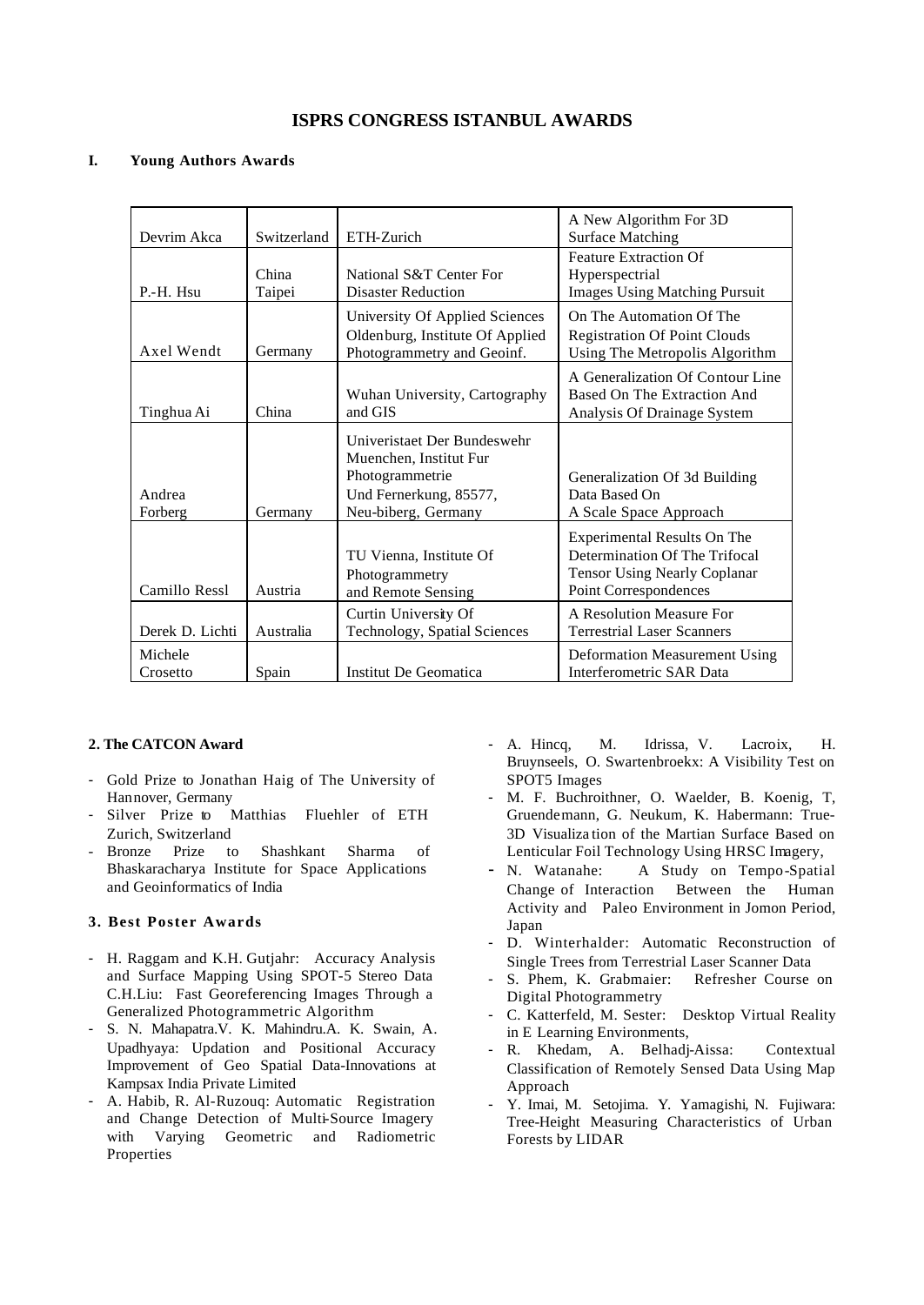## **ISPRS CONGRESS ISTANBUL AWARDS**

#### **I. Young Authors Awards**

| Devrim Akca         | Switzerland     | ETH-Zurich                                                                                                                | A New Algorithm For 3D<br><b>Surface Matching</b>                                                                            |
|---------------------|-----------------|---------------------------------------------------------------------------------------------------------------------------|------------------------------------------------------------------------------------------------------------------------------|
| P.-H. Hsu           | China<br>Taipei | National S&T Center For<br><b>Disaster Reduction</b>                                                                      | <b>Feature Extraction Of</b><br>Hyperspectrial<br><b>Images Using Matching Pursuit</b>                                       |
| Axel Wendt          | Germany         | University Of Applied Sciences<br>Oldenburg, Institute Of Applied<br>Photogrammetry and Geoinf.                           | On The Automation Of The<br><b>Registration Of Point Clouds</b><br>Using The Metropolis Algorithm                            |
| Tinghua Ai          | China           | Wuhan University, Cartography<br>and GIS                                                                                  | A Generalization Of Contour Line<br>Based On The Extraction And<br>Analysis Of Drainage System                               |
| Andrea<br>Forberg   | Germany         | Univeristaet Der Bundeswehr<br>Muenchen, Institut Fur<br>Photogrammetrie<br>Und Fernerkung, 85577,<br>Neu-biberg, Germany | Generalization Of 3d Building<br>Data Based On<br>A Scale Space Approach                                                     |
| Camillo Ressl       | Austria         | TU Vienna, Institute Of<br>Photogrammetry<br>and Remote Sensing                                                           | Experimental Results On The<br>Determination Of The Trifocal<br><b>Tensor Using Nearly Coplanar</b><br>Point Correspondences |
| Derek D. Lichti     | Australia       | Curtin University Of<br>Technology, Spatial Sciences                                                                      | A Resolution Measure For<br><b>Terrestrial Laser Scanners</b>                                                                |
| Michele<br>Crosetto | Spain           | Institut De Geomatica                                                                                                     | <b>Deformation Measurement Using</b><br>Interferometric SAR Data                                                             |

#### **2. The CATCON Award**

- Gold Prize to Jonathan Haig of The University of Hannover, Germany
- Silver Prize to Matthias Fluehler of ETH Zurich, Switzerland
- Bronze Prize to Shashkant Sharma of Bhaskaracharya Institute for Space Applications and Geoinformatics of India

#### **3. Best Poster Awards**

- H. Raggam and K.H. Gutjahr: Accuracy Analysis and Surface Mapping Using SPOT-5 Stereo Data C.H.Liu: Fast Georeferencing Images Through a Generalized Photogrammetric Algorithm
- S. N. Mahapatra.V. K. Mahindru.A. K. Swain, A. Upadhyaya: Updation and Positional Accuracy Improvement of Geo Spatial Data-Innovations at Kampsax India Private Limited
- A. Habib, R. Al-Ruzouq: Automatic Registration and Change Detection of Multi-Source Imagery with Varying Geometric and Radiometric Properties
- A. Hincq, M. Idrissa, V. Lacroix, H. Bruynseels, O. Swartenbroekx: A Visibility Test on SPOT5 Images
- M. F. Buchroithner, O. Waelder, B. Koenig, T, Gruendemann, G. Neukum, K. Habermann: True-3D Visualiza tion of the Martian Surface Based on Lenticular Foil Technology Using HRSC Imagery,
- N. Watanahe: A Study on Tempo-Spatial Change of Interaction Between the Human Activity and Paleo Environment in Jomon Period, Japan
- D. Winterhalder: Automatic Reconstruction of Single Trees from Terrestrial Laser Scanner Data
- S. Phem, K. Grabmaier: Refresher Course on Digital Photogrammetry
- C. Katterfeld, M. Sester: Desktop Virtual Reality in E Learning Environments,
- R. Khedam, A. Belhadj-Aissa: Contextual Classification of Remotely Sensed Data Using Map Approach
- Y. Imai, M. Setojima. Y. Yamagishi, N. Fujiwara: Tree-Height Measuring Characteristics of Urban Forests by LIDAR